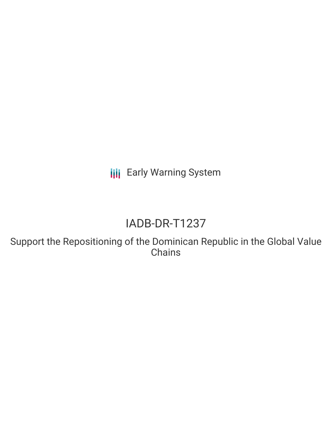**III** Early Warning System

# IADB-DR-T1237

Support the Repositioning of the Dominican Republic in the Global Value **Chains**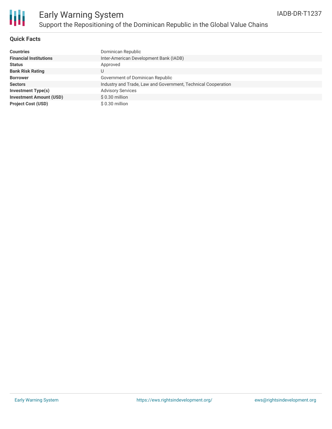

### **Quick Facts**

| <b>Countries</b>               | Dominican Republic                                            |
|--------------------------------|---------------------------------------------------------------|
| <b>Financial Institutions</b>  | Inter-American Development Bank (IADB)                        |
| <b>Status</b>                  | Approved                                                      |
| <b>Bank Risk Rating</b>        |                                                               |
| <b>Borrower</b>                | Government of Dominican Republic                              |
| <b>Sectors</b>                 | Industry and Trade, Law and Government, Technical Cooperation |
| Investment Type(s)             | <b>Advisory Services</b>                                      |
| <b>Investment Amount (USD)</b> | $$0.30$ million                                               |
| <b>Project Cost (USD)</b>      | \$0.30 million                                                |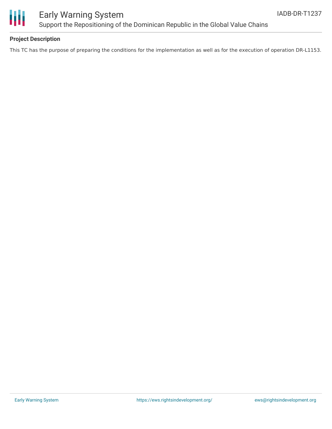

### Early Warning System Support the Repositioning of the Dominican Republic in the Global Value Chains

### **Project Description**

This TC has the purpose of preparing the conditions for the implementation as well as for the execution of operation DR-L1153.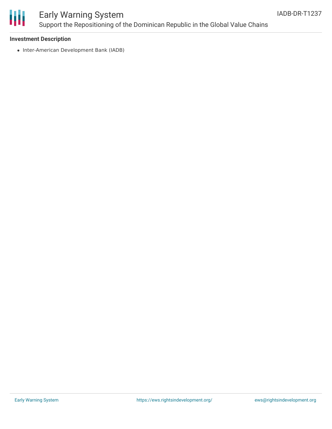

## Early Warning System Support the Repositioning of the Dominican Republic in the Global Value Chains

### **Investment Description**

• Inter-American Development Bank (IADB)